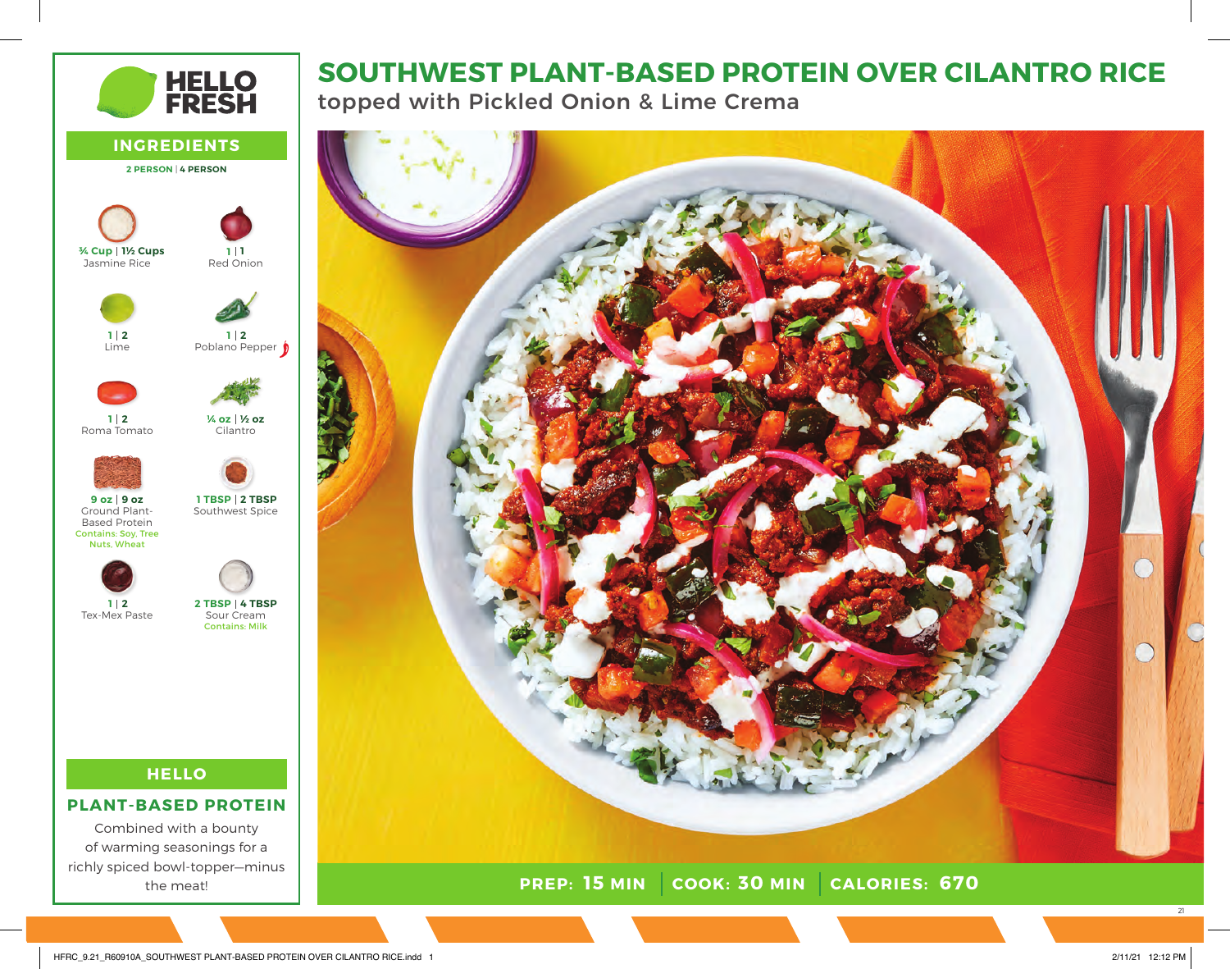# **HELLO<br>FRESH**

**INGREDIENTS 2 PERSON** | **4 PERSON**

Red Onion

**1 1**

Poblano Pepper **2 1**

Cilantro

**½ oz ¼ oz**

# **SOUTHWEST PLANT-BASED PROTEIN OVER CILANTRO RICE**

topped with Pickled Onion & Lime Crema



Roma Tomato Ground Plant-Based Protein Contains: Soy, Tree Nuts, Wheat Southwest Spice **2 TBSP 1 TBSP 2 1 9 oz 9 oz**

**2 1**

Jasmine Rice

**1½ Cups ¾ Cup**

Lime

**2 1**



Tex-Mex Paste Sour Cream Contains: Milk **4 TBSP 2 TBSP**

## **HELLO**

#### **PLANT-BASED PROTEIN**

Combined with a bounty of warming seasonings for a richly spiced bowl-topper—minus the meat!